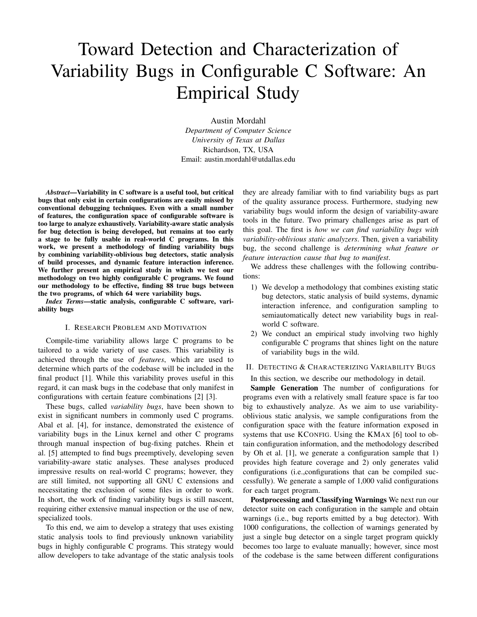# Toward Detection and Characterization of Variability Bugs in Configurable C Software: An Empirical Study

Austin Mordahl *Department of Computer Science University of Texas at Dallas* Richardson, TX, USA Email: austin.mordahl@utdallas.edu

*Abstract*—Variability in C software is a useful tool, but critical bugs that only exist in certain configurations are easily missed by conventional debugging techniques. Even with a small number of features, the configuration space of configurable software is too large to analyze exhaustively. Variability-aware static analysis for bug detection is being developed, but remains at too early a stage to be fully usable in real-world C programs. In this work, we present a methodology of finding variability bugs by combining variability-oblivious bug detectors, static analysis of build processes, and dynamic feature interaction inference. We further present an empirical study in which we test our methodology on two highly configurable C programs. We found our methodology to be effective, finding 88 true bugs between the two programs, of which 64 were variability bugs.

*Index Terms*—static analysis, configurable C software, variability bugs

# I. RESEARCH PROBLEM AND MOTIVATION

Compile-time variability allows large C programs to be tailored to a wide variety of use cases. This variability is achieved through the use of *features*, which are used to determine which parts of the codebase will be included in the final product [1]. While this variability proves useful in this regard, it can mask bugs in the codebase that only manifest in configurations with certain feature combinations [2] [3].

These bugs, called *variability bugs*, have been shown to exist in significant numbers in commonly used C programs. Abal et al. [4], for instance, demonstrated the existence of variability bugs in the Linux kernel and other C programs through manual inspection of bug-fixing patches. Rhein et al. [5] attempted to find bugs preemptively, developing seven variability-aware static analyses. These analyses produced impressive results on real-world C programs; however, they are still limited, not supporting all GNU C extensions and necessitating the exclusion of some files in order to work. In short, the work of finding variability bugs is still nascent, requiring either extensive manual inspection or the use of new, specialized tools.

To this end, we aim to develop a strategy that uses existing static analysis tools to find previously unknown variability bugs in highly configurable C programs. This strategy would allow developers to take advantage of the static analysis tools

they are already familiar with to find variability bugs as part of the quality assurance process. Furthermore, studying new variability bugs would inform the design of variability-aware tools in the future. Two primary challenges arise as part of this goal. The first is *how we can find variability bugs with variability-oblivious static analyzers*. Then, given a variability bug, the second challenge is *determining what feature or feature interaction cause that bug to manifest*.

We address these challenges with the following contributions:

- 1) We develop a methodology that combines existing static bug detectors, static analysis of build systems, dynamic interaction inference, and configuration sampling to semiautomatically detect new variability bugs in realworld C software.
- 2) We conduct an empirical study involving two highly configurable C programs that shines light on the nature of variability bugs in the wild.

# II. DETECTING & CHARACTERIZING VARIABILITY BUGS

In this section, we describe our methodology in detail.

Sample Generation The number of configurations for programs even with a relatively small feature space is far too big to exhaustively analyze. As we aim to use variabilityoblivious static analysis, we sample configurations from the configuration space with the feature information exposed in systems that use KCONFIG. Using the KMAX [6] tool to obtain configuration information, and the methodology described by Oh et al. [1], we generate a configuration sample that 1) provides high feature coverage and 2) only generates valid configurations (i.e.,configurations that can be compiled successfully). We generate a sample of 1,000 valid configurations for each target program.

Postprocessing and Classifying Warnings We next run our detector suite on each configuration in the sample and obtain warnings (i.e., bug reports emitted by a bug detector). With 1000 configurations, the collection of warnings generated by just a single bug detector on a single target program quickly becomes too large to evaluate manually; however, since most of the codebase is the same between different configurations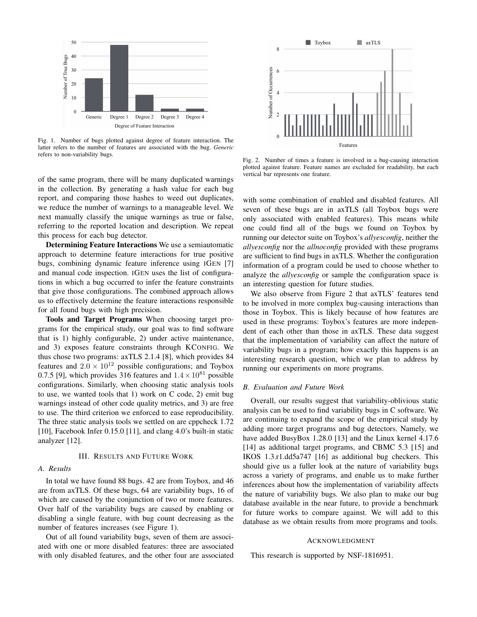

Fig. 1. Number of bugs plotted against degree of feature interaction. The latter refers to the number of features are associated with the bug. *Generic* refers to non-variability bugs.

of the same program, there will be many duplicated warnings in the collection. By generating a hash value for each bug report, and comparing those hashes to weed out duplicates, we reduce the number of warnings to a manageable level. We next manually classify the unique warnings as true or false, referring to the reported location and description. We repeat this process for each bug detector.

Determining Feature Interactions We use a semiautomatic approach to determine feature interactions for true positive bugs, combining dynamic feature inference using IGEN [7] and manual code inspection. IGEN uses the list of configurations in which a bug occurred to infer the feature constraints that give those configurations. The combined approach allows us to effectively determine the feature interactions responsible for all found bugs with high precision.

Tools and Target Programs When choosing target programs for the empirical study, our goal was to find software that is 1) highly configurable, 2) under active maintenance, and 3) exposes feature constraints through KCONFIG. We thus chose two programs: axTLS 2.1.4 [8], which provides 84 features and  $2.0 \times 10^{12}$  possible configurations; and Toybox 0.7.5 [9], which provides 316 features and  $1.4 \times 10^{81}$  possible configurations. Similarly, when choosing static analysis tools to use, we wanted tools that 1) work on C code, 2) emit bug warnings instead of other code quality metrics, and 3) are free to use. The third criterion we enforced to ease reproducibility. The three static analysis tools we settled on are cppcheck 1.72 [10], Facebook Infer 0.15.0 [11], and clang 4.0's built-in static analyzer [12].

#### III. RESULTS AND FUTURE WORK

#### *A. Results*

In total we have found 88 bugs. 42 are from Toybox, and 46 are from axTLS. Of these bugs, 64 are variability bugs, 16 of which are caused by the conjunction of two or more features. Over half of the variability bugs are caused by enabling or disabling a single feature, with bug count decreasing as the number of features increases (see Figure 1).

Out of all found variability bugs, seven of them are associated with one or more disabled features: three are associated with only disabled features, and the other four are associated



Fig. 2. Number of times a feature is involved in a bug-causing interaction plotted against feature. Feature names are excluded for readability, but each vertical bar represents one feature.

with some combination of enabled and disabled features. All seven of these bugs are in axTLS (all Toybox bugs were only associated with enabled features). This means while one could find all of the bugs we found on Toybox by running our detector suite on Toybox's *allyesconfig*, neither the *allyesconfig* nor the *allnoconfig* provided with these programs are sufficient to find bugs in axTLS. Whether the configuration information of a program could be used to choose whether to analyze the *allyesconfig* or sample the configuration space is an interesting question for future studies.

We also observe from Figure 2 that axTLS' features tend to be involved in more complex bug-causing interactions than those in Toybox. This is likely because of how features are used in these programs: Toybox's features are more independent of each other than those in axTLS. These data suggest that the implementation of variability can affect the nature of variability bugs in a program; how exactly this happens is an interesting research question, which we plan to address by running our experiments on more programs.

### *B. Evaluation and Future Work*

Overall, our results suggest that variability-oblivious static analysis can be used to find variability bugs in C software. We are continuing to expand the scope of the empirical study by adding more target programs and bug detectors. Namely, we have added BusyBox 1.28.0 [13] and the Linux kernel 4.17.6 [14] as additional target programs, and CBMC 5.3 [15] and IKOS 1.3.r1.dd5a747 [16] as additional bug checkers. This should give us a fuller look at the nature of variability bugs across a variety of programs, and enable us to make further inferences about how the implementation of variability affects the nature of variability bugs. We also plan to make our bug database available in the near future, to provide a benchmark for future works to compare against. We will add to this database as we obtain results from more programs and tools.

#### ACKNOWLEDGMENT

This research is supported by NSF-1816951.